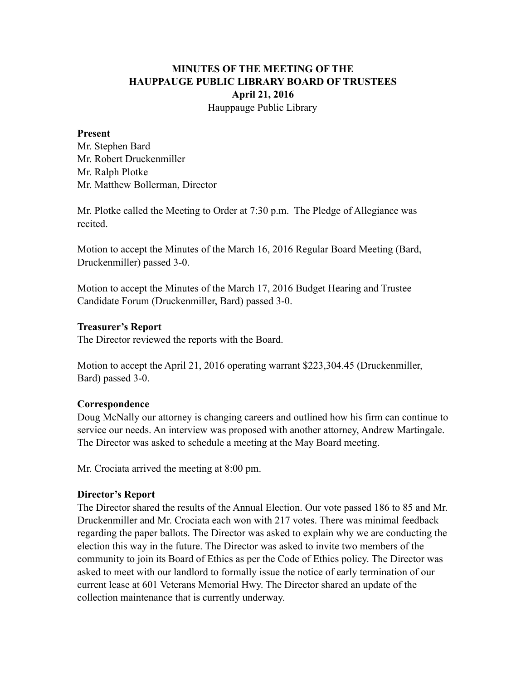# **MINUTES OF THE MEETING OF THE HAUPPAUGE PUBLIC LIBRARY BOARD OF TRUSTEES April 21, 2016** Hauppauge Public Library

## **Present**

Mr. Stephen Bard Mr. Robert Druckenmiller Mr. Ralph Plotke Mr. Matthew Bollerman, Director

Mr. Plotke called the Meeting to Order at 7:30 p.m. The Pledge of Allegiance was recited.

Motion to accept the Minutes of the March 16, 2016 Regular Board Meeting (Bard, Druckenmiller) passed 3-0.

Motion to accept the Minutes of the March 17, 2016 Budget Hearing and Trustee Candidate Forum (Druckenmiller, Bard) passed 3-0.

#### **Treasurer's Report**

The Director reviewed the reports with the Board.

Motion to accept the April 21, 2016 operating warrant \$223,304.45 (Druckenmiller, Bard) passed 3-0.

#### **Correspondence**

Doug McNally our attorney is changing careers and outlined how his firm can continue to service our needs. An interview was proposed with another attorney, Andrew Martingale. The Director was asked to schedule a meeting at the May Board meeting.

Mr. Crociata arrived the meeting at 8:00 pm.

#### **Director's Report**

The Director shared the results of the Annual Election. Our vote passed 186 to 85 and Mr. Druckenmiller and Mr. Crociata each won with 217 votes. There was minimal feedback regarding the paper ballots. The Director was asked to explain why we are conducting the election this way in the future. The Director was asked to invite two members of the community to join its Board of Ethics as per the Code of Ethics policy. The Director was asked to meet with our landlord to formally issue the notice of early termination of our current lease at 601 Veterans Memorial Hwy. The Director shared an update of the collection maintenance that is currently underway.